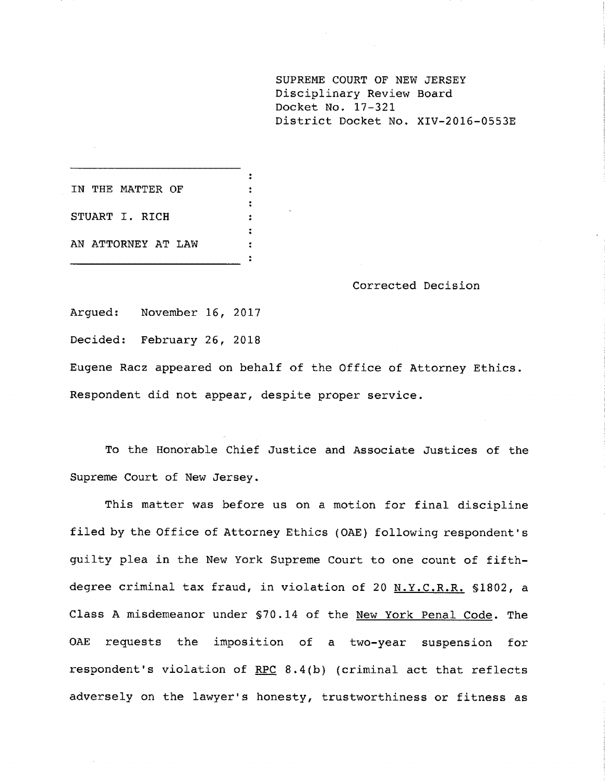**SUPREME COURT OF NEW JERSEY** Disciplinary Review Board Docket No. 17-321 District Docket No. XlV-2016-0553E

IN THE MATTER OF STUART I. RICH AN ATTORNEY AT LAW

Corrected Decision

Argued: November 16, 2017

Decided: February 26, 2018

Eugene Racz appeared on behalf of the Office of Attorney Ethics. Respondent did not appear, despite proper service.

 $\ddot{\cdot}$ 

 $\mathbf{r}$  $\ddot{\cdot}$ 

To the Honorable Chief Justice and Associate Justices of the Supreme Court of New Jersey.

This matter was before us on a motion for final discipline filed by the Office of Attorney Ethics (OAE) following respondent's guilty plea in the New York Supreme Court to one count of fifthdegree criminal tax fraud, in violation of 20 N.Y.C.R.R. §1802, a Class A misdemeanor under §70.14 of the New York Penal Code. The OAE requests the imposition of a two-year suspension for respondent's violation of RPC 8.4(b) (criminal act that reflects adversely on the lawyer's honesty, trustworthiness or fitness as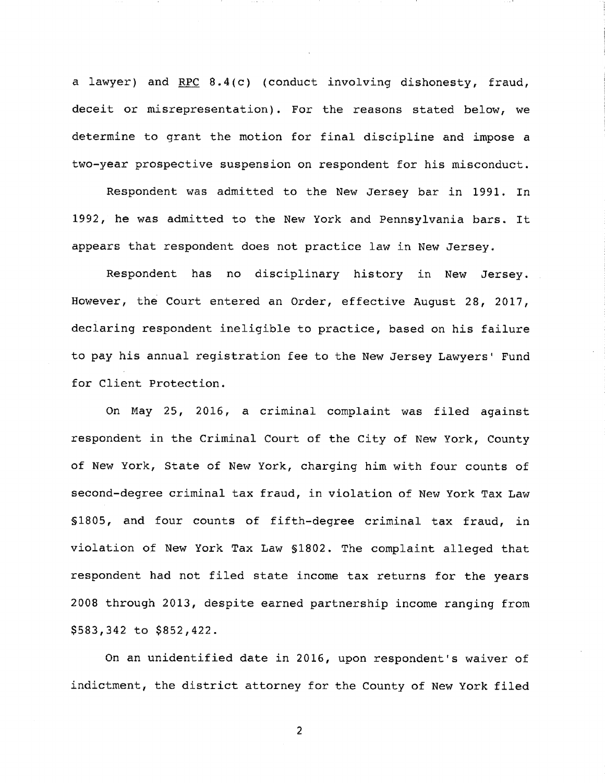a lawyer) and RPC  $8.4(c)$  (conduct involving dishonesty, fraud, deceit or misrepresentation). For the reasons stated below, we to grant the motion for final discipline and impose a two-year prospective suspension on respondent for his misconduct.

was admitted to the New bar in 1991. In 1992, he was admitted to the New York and Pennsylvania bars. It appears that respondent does not practice law in New Jersey.

Respondent has no disciplinary history in New Jersey. However, the Court entered an Order, effective August 28, 2017, declaring respondent ineligible to practice, based on his failure to pay his annual registration fee to the New Jersey Lawyers' Fund for Client Protection.

On May 25, 2016, a criminal complaint was filed against respondent in the Criminal Court of the City of New York, County of New York, State of New York, charging him with four counts of second-degree criminal tax fraud, in violation of New York Tax Law \$1805, and four counts of fifth-degree criminal tax fraud, in violation of New York Tax Law §1802. The complaint alleged that respondent had not filed state income tax returns for the years 2008 through 2013, despite earned partnership income ranging from \$583,342 to \$852,422.

On an unidentified date in 2016, upon respondent's waiver of indictment, the district attorney for the County of New York filed

 $\overline{2}$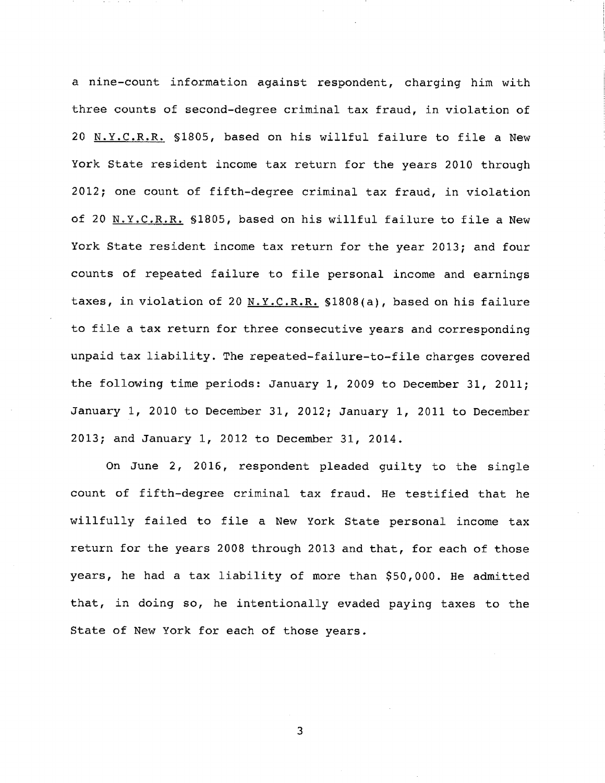a nine-count information against respondent, charging him with three counts of second-degree criminal tax fraud, in violation of 20 N.Y.C.R.R. \$1805, based on his willful failure to file a New York State resident income tax return for the years 2010 through 2012; one count of fifth-degree criminal tax fraud, in violation of 20 N.Y.C.R.R. §1805, based on his willful failure to file a New York State resident income tax return for the year 2013; and four counts of repeated failure to file personal income and earnings taxes, in violation of 20  $N.Y.C.R.R.$   $$1808(a)$ , based on his failure to file a tax return for three consecutive years and corresponding unpaid tax liability. The repeated-failure-to-file charges covered the following time periods: January i, 2009 to December 31, 2011; January i, 2010 to December 31, 2012; January i, 2011 to December 2013; and January i, 2012 to December 31, 2014.

On June 2, 2016, respondent pleaded guilty to the single count of fifth-degree criminal tax fraud. He testified that he willfully failed to file a New York State personal income tax return for the years 2008 through 2013 and that, for each of those years, he had a tax liability of more than \$50,000. He admitted that, in doing so, he intentionally evaded paying taxes to the State of New York for each of those years.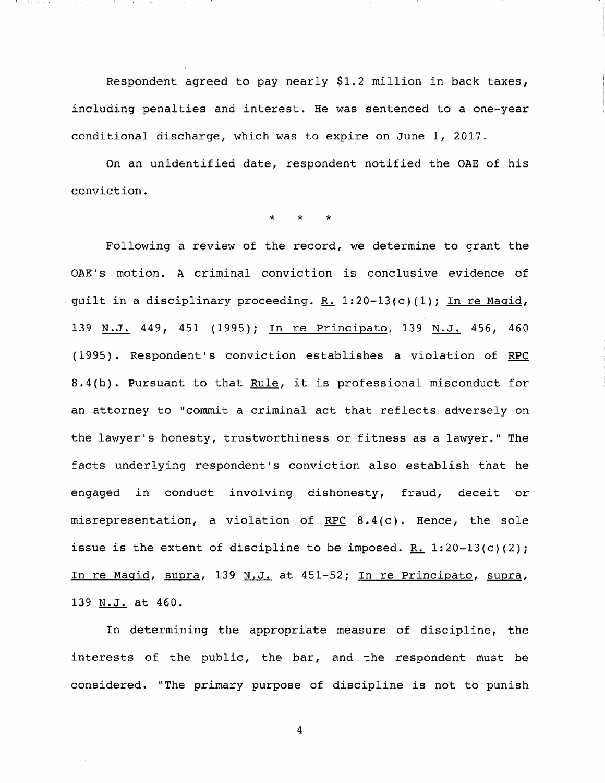conditional discharge, which was to expire on June 1, 2017. Respondent agreed to pay nearly  $$1.2$  million in back taxes, including penalties and interest. He was sentenced to a one-year

On an unidentified date, respondent notified the OAE of his conviction.

 $\star$ 

Following a review of the record, we determine to grant the OAE's motion. A criminal conviction is conclusive evidence of guilt in a disciplinary proceeding. R. 1:20-13(c)(1); In re Magid, 139 N.J. 449, 451 (1995); In re Principato, 139 N.J. 456, 460 (1995). Respondent's conviction establishes a violation of RPC 8.4(b). Pursuant to that Rule, it is professional misconduct for an attorney to "commit a criminal act that reflects adversely on the lawyer's honesty, trustworthiness or fitness as a lawyer." The facts underlying respondent's conviction also establish that he engaged in conduct involving dishonesty, fraud, deceit or misrepresentation, a violation of RPC  $8.4(c)$ . Hence, the sole issue is the extent of discipline to be imposed. R.  $1:20-13(c)(2)$ ; In re Maqid, supra, 139 N.J. at 451-52; In re Principato, supra, 139 N.J. at 460.

In determining the appropriate measure of discipline, the interests of the public, the bar, and the respondent must be considered. "The primary purpose of discipline is not to punish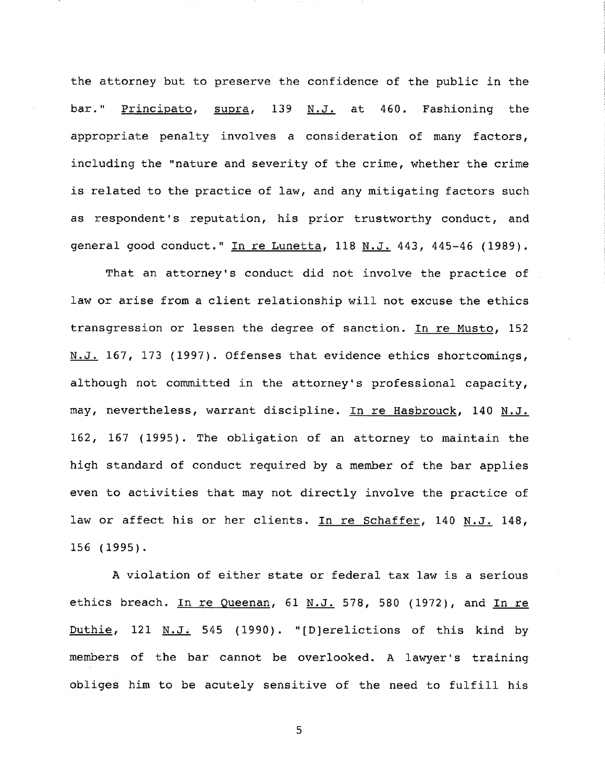the attorney but to preserve the confidence of the public in the bar." Principato, supra, 139 N.J. at 460. Fashioning the appropriate penalty involves a consideration of many factors, including the "nature and severity of the crime, whether the crime is related to the practice of law, and any mitigating factors such as respondent's reputation, his prior trustworthy conduct, and general good conduct." In re Lunetta, 118 N.J. 443, 445-46 (1989).

That an attorney's conduct did not involve the practice of law or arise from a client relationship will not excuse the ethics transgression or lessen the degree of sanction. In re Musto, 152 N.J. 167, 173 (1997). Offenses that evidence ethics shortcomings, although not committed in the attorney's professional capacity, may, nevertheless, warrant discipline. In re Hasbrouck, 140 N.J. 162, 167 (1995). The obligation of an attorney to maintain the high standard of conduct required by a member of the bar applies even to activities that may not directly involve the practice of law or affect his or her clients. In re Schaffer, 140 N.J. 148, 156 (1995).

A violation of either state or federal tax law is a serious ethics breach. In re Queenan, 61 N.J. 578, 580 (1972), and In re Duthie, 121  $M.J. 545$  (1990). "[D]erelictions of this kind by members of the bar cannot be overlooked. A lawyer's training obliges him to be acutely sensitive of the need to fulfill his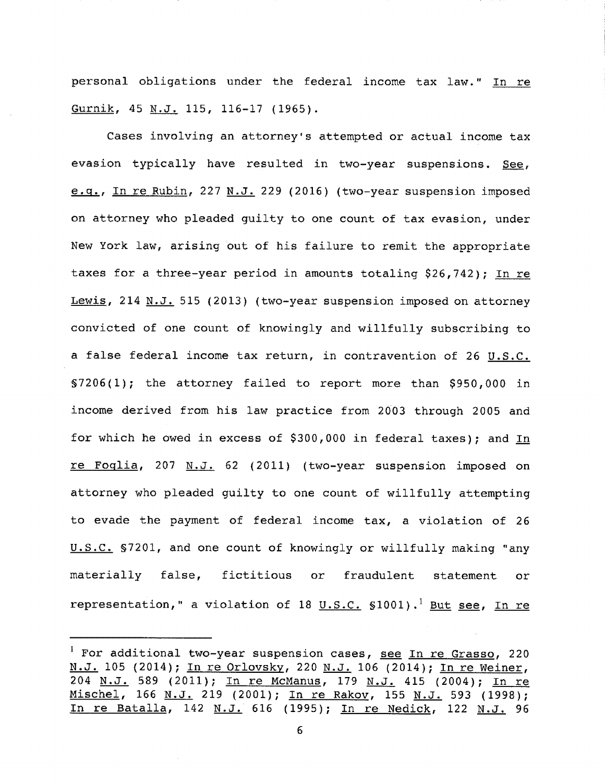personal obligations under the federal income tax law." In re Gurnik, 45 N.J. 115, 116-17 (1965).

Cases involving an attorney's attempted or actual income tax evasion typically have resulted in two-year suspensions. See, e.g., In re Rubin, 227 N.J. 229 (2016) (two-year suspension imposed on attorney who pleaded guilty to one count of tax evasion, under New York law, arising out of his failure to remit the appropriate taxes for a three-year period in amounts totaling \$26,742); In re Lewis, 214 N.J. 515 (2013) (two-year suspension imposed on attorney convicted of one count of knowingly and willfully subscribing to a false federal income tax return, in contravention of 26 U.S.C.  $$7206(1);$  the attorney failed to report more than \$950,000 in income derived from his law practice from 2003 through 2005 and for which he owed in excess of  $$300,000$  in federal taxes); and In re Foglia, 207  $M.J. 62$  (2011) (two-year suspension imposed on attorney who pleaded guilty to one count of willfully attempting to evade the payment of federal income tax, a violation of 26 U.S.C. §7201, and one count of knowingly or willfully making "any false, fictitious or fraudulent statement or representation," a violation of 18 U.S.C.  $$1001$ ).<sup>1</sup> But see, In re

 $1$  For additional two-year suspension cases, see In re Grasso, 220 N.J. 105 (2014); In re Orlovsky, 220 N.J. 106 (2014); In re Weiner, 204 N.J. 589 (2011); In re McManus, 179 N.J. 415 (2004); In re Mischel, 166 N.J. 219 (2001); In re Rakov, 155 N.J. 593 (1998); In re Batalla, 142 N.J. 616 (1995); In re Nedick, 122 N.J. 96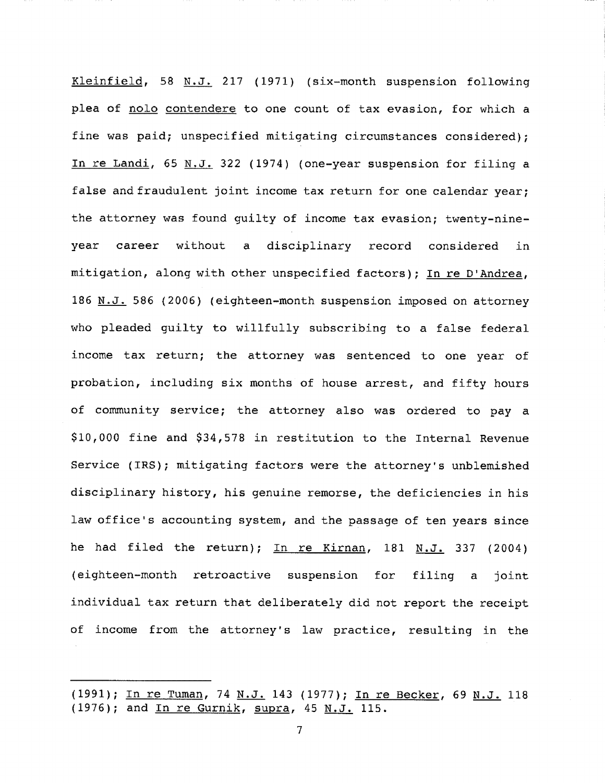Kleinfield, 58 N.J. 217 (1971) (six-month suspension following plea of nolo contendere to one count of tax evasion, for which a was paid; unspecified mitigating circumstances considered); In re Landi, 65 N.J. 322 (1974) (one-year suspension for filing a false and fraudulent joint income tax return for one calendar year; the attorney was found quilty of income tax evasion; twenty-nineyear career without a disciplinary record considered in mitigation, along with other unspecified factors); In re D'Andrea, 186 N.J. 586 (2006) (eighteen-month suspension imposed on attorney who pleaded guilty to willfully subscribing to a false federal income tax return; the attorney was sentenced to one year of probation, including six months of house arrest, and fifty hours of community service; the attorney also was ordered to pay a \$I0,000 fine and \$34,578 in restitution to the Internal Revenue Service (IRS); mitigating factors were the attorney's unblemished disciplinary history, his genuine remorse, the deficiencies in his law office's accounting system, and the passage of ten years since he had filed the return); In re Kirnan, 181 N.J. 337 (2004) (eighteen-month retroactive suspension for filing a joint individual tax return that deliberately did not report the receipt of income from the attorney's law practice, resulting in the

<sup>(1991);</sup> In re Tuman, 74 N.J. 143 (1977); In re Becker, 69 N.J. 118 (1976); and In re Gurnik, supra, 45 N.J. 115.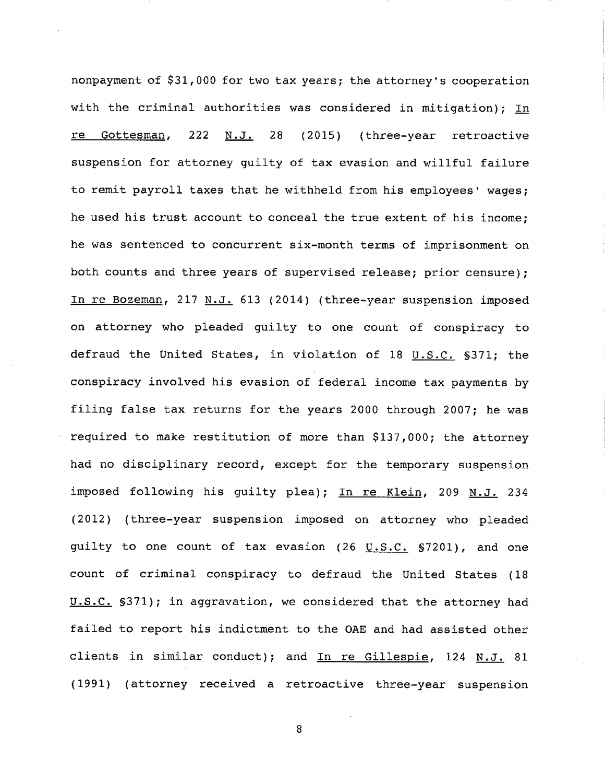nonpayment of \$31,000 for two tax years; the attorney's cooperation with the criminal authorities was considered in mitigation); In re Gottesman, 222 N.J. 28 (2015) (three-year retroactive suspension for attorney guilty of tax evasion and willful failure to remit payroll taxes that he withheld from his employees' wages; he used his trust account to conceal the true extent of his income; he was sentenced to concurrent six-month terms of imprisonment on both counts and three years of supervised release; prior censure); In re Bozeman, 217 N.J. 613 (2014) (three-year suspension imposed on attorney who pleaded guilty to one count of conspiracy to defraud the United States, in violation of 18 U.S.C. §371; the conspiracy involved his evasion of federal income tax payments by filing false tax returns for the years 2000 through 2007; he was required to make restitution of more than \$137,000; the attorney had no disciplinary record, except for the temporary suspension imposed following his guilty plea); In re Klein, 209 N.J. 234 (2012) (three-year suspension imposed on attorney who pleaded guilty to one count of tax evasion  $(26 \text{ U.S.C. } $7201)$ , and one count of criminal conspiracy to defraud the United States (18 U.S.C. \$371); in aggravation, we considered that the attorney had failed to report his indictment to the OAE and had assisted other clients in similar conduct); and In re Gillespie, 124 N.J. 81 (1991) (attorney received a retroactive three-year suspension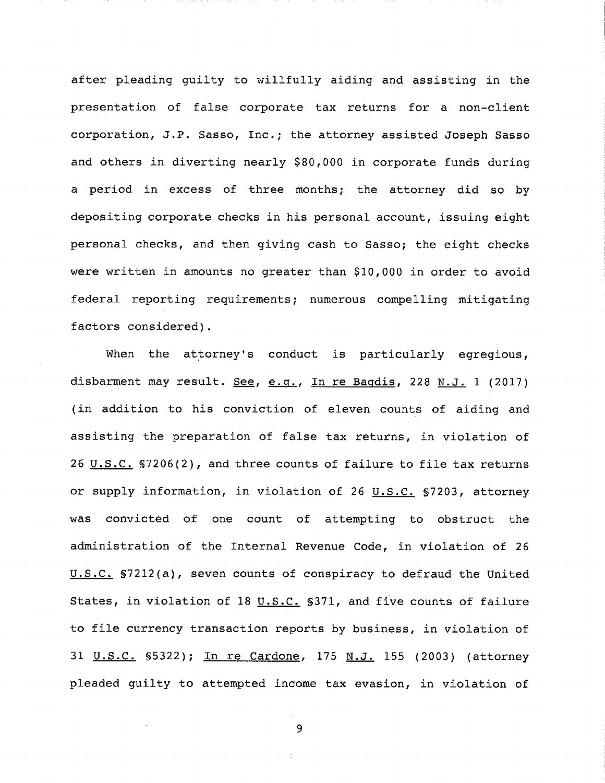after pleading guilty to willfully aiding and assisting in the of false tax returns for a non-client J.P. Sasso, Inc.; the attorney assisted Joseph Sasso and others in diverting  $nearly$  \$80,000 in corporate funds during a period in excess of three months; the attorney did so by depositing corporate checks in his personal account, issuing eight personal checks, and then giving cash to Sasso; the eight checks were written in amounts no greater than \$10,000 in order to avoid federal reporting requirements; numerous compelling mitigating factors considered).

When the attorney's conduct is particularly egregious, disbarment may result. See, e.g., In re Bagdis, 228 N.J. 1 (2017) (in addition to his conviction of eleven counts of aiding and assisting the preparation of false tax returns, in violation of 26  $U.S.C.$  \$7206(2), and three counts of failure to file tax returns</u> or supply information, in violation of 26 U.S.C. §7203, attorney was convicted of one count of attempting to obstruct the administration of the Internal Revenue Code, in violation of 26 U.S.C. §7212(a), seven counts of conspiracy to defraud the United States, in violation of 18  $u.s.C.$  \$371, and five counts of failure</u> to file currency transaction reports by business, in violation of 31 U.S.C. §5322); In re Cardone, 175 N.J. 155 (2003) (attorney pleaded guilty to attempted income tax evasion, in violation of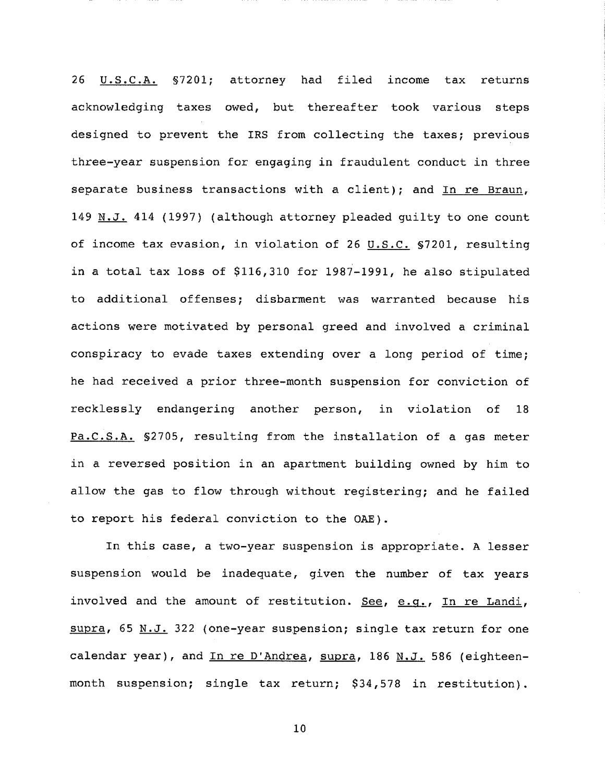26 U.S.C.A. §7201; attorney had filed income tax returns acknowledging taxes owed, but thereafter took various steps designed to prevent the IRS from collecting the taxes; previous three-year suspension for engaging in fraudulent conduct in three separate business transactions with a client); and In re Braun, 149 N.J. 414 (1997) (although attorney pleaded guilty to one count of income tax evasion, in violation of 26  $U.S.C.$  §7201, resulting in a total tax loss of \$116,310 for 1987-1991, he also stipulated to additional offenses; disbarment was warranted because his actions were motivated by personal greed and involved a criminal conspiracy to evade taxes extending over a long period of time; he had received a prior three-month suspension for conviction of recklessly endangering another person, in violation of 18 Pa.C.S.A. §2705, resulting from the installation of a gas meter in a reversed position in an apartment building owned by him to allow the gas to flow through without registering; and he failed to report his federal conviction to the OAE).

In this case, a two-year suspension is appropriate. A lesser suspension would be inadequate, given the number of tax years involved and the amount of restitution. See, e.g., In re Landi, supra, 65 N.J. 322 (one-year suspension; single tax return for one calendar year), and In re D'Andrea, supra, 186 N.J. 586 (eighteenmonth suspension; single tax return; \$34,578 in restitution).

i0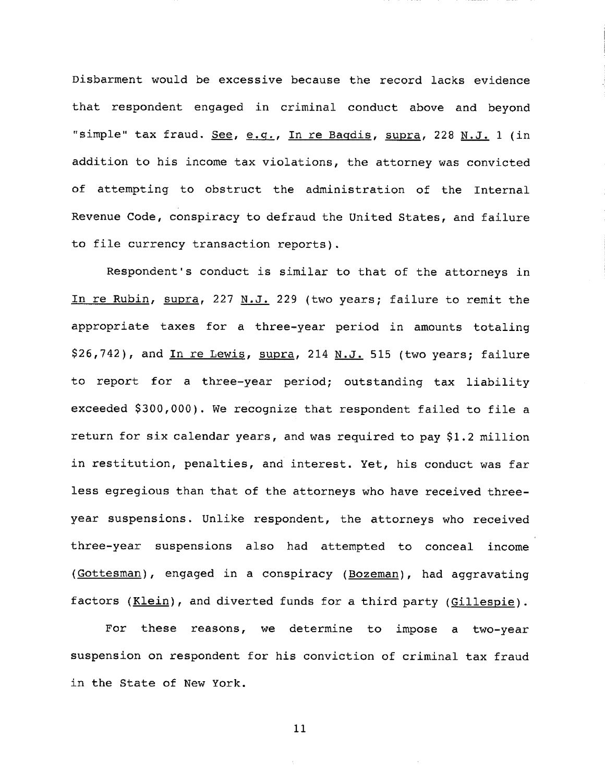Disbarment would be excessive because the record lacks evidence that respondent engaged in criminal conduct above and beyond "simple" tax fraud.  $See, e.g.,$  In re Bagdis, supra, 228 N.J. 1 (in addition to his income tax violations, the attorney was of attempting to obstruct the administration of the Internal Revenue Code, conspiracy to defraud the United States, and failure to file currency transaction reports).

Respondent's conduct is similar to that of the attorneys in In re Rubin, supra, 227 N.J. 229 (two years; failure to remit the appropriate taxes for a three-year period in amounts totaling \$26,742), and In re Lewis, supra, 214 N.J. 515 (two years; failure to report for a three-year period; outstanding tax liability exceeded \$300,000). We recognize that respondent failed to file a return for six calendar years, and was required to pay \$1.2 million in restitution, penalties, and interest. Yet, his conduct was far less egregious than that of the attorneys who have received threeyear suspensions. Unlike respondent, the attorneys who received three-year suspensions also had attempted to conceal income (Gottesman), engaged in a conspiracy (Bozeman), had aggravating factors  $(Klein)$ , and diverted funds for a third party (Gillespie).

For these reasons, we determine to impose a two-year suspension on respondent for his conviction of criminal tax fraud in the State of New York.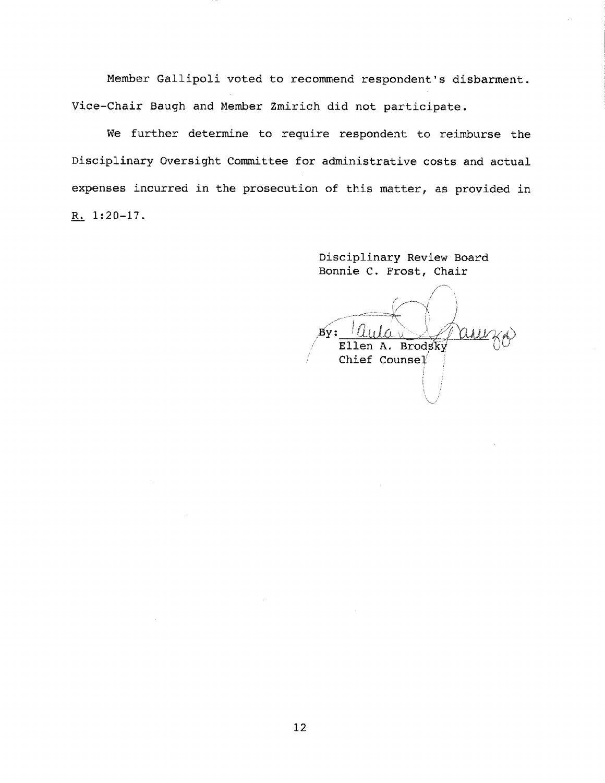Member Gallipoli voted to recommend respondent's disbarment. Vice-Chair Baugh and Member Zmirich did not participate.

We further determine to require respondent to reimburse the Disciplinary Oversight Committee for administrative costs and actual expenses incurred in the prosecution of this matter, as provided in  $R_1$  1:20-17.

> Disciplinary Review Board Bonnie C. Frost, Chair

By : Ellen A. Brodsky Chief Counsel'